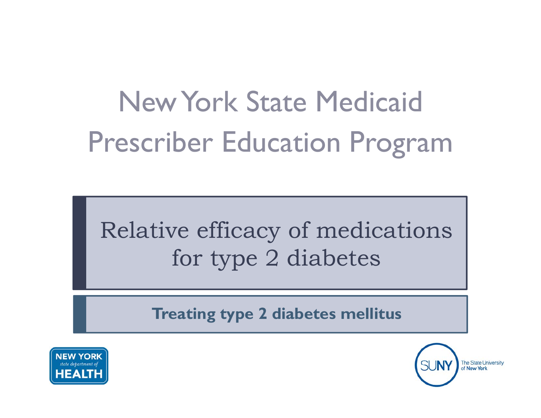# New York State MedicaidPrescriber Education Program

# Relative efficacy of medications for type 2 diabetes

**Treating type 2 diabetes mellitus**



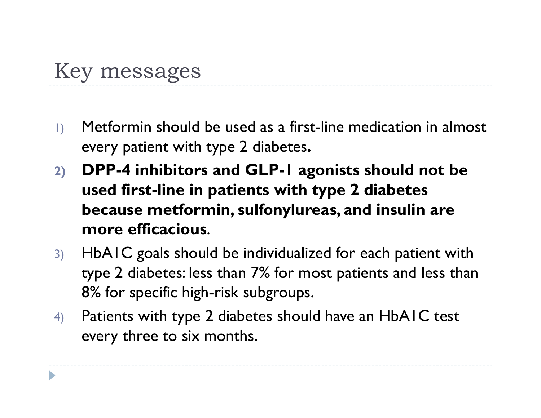#### Key messages

- 1) Metformin should be used as a first-line medication in almost every patient with type 2 diabetes**.**
- **2) DPP-4 inhibitors and GLP-1 agonists should not be used first-line in patients with type 2 diabetes because metformin, sulfonylureas, and insulin are more efficacious**.
- 3) HbA1C goals should be individualized for each patient with type 2 diabetes: less than 7% for most patients and less than 8% for specific high-risk subgroups.
- 4) Patients with type 2 diabetes should have an HbA1C test every three to six months.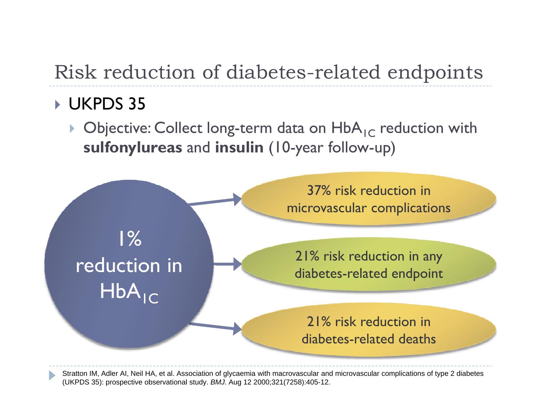#### Risk reduction of diabetes -related endpoints

#### UKPDS 35

 $\blacktriangleright$  Objective: Collect long-term data on  $\mathsf{HbA}_{\mathsf{IC}}$  reduction with **sulfonylureas** and **insulin** (10-year follow-up)



Stratton IM, Adler AI, Neil HA, et al. Association of glycaemia with macrovascular and microvascular complications of type 2 diabetes (UKPDS 35): prospective observational study. *BMJ.* Aug 12 2000;321(7258):405-12.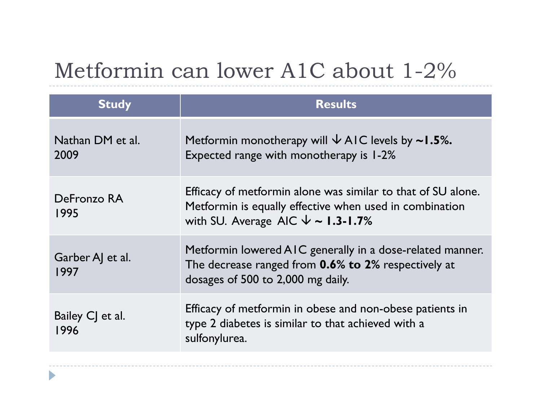#### Metformin can lower A1C about 1 -2%

| <b>Study</b>             | <b>Results</b>                                                                                                                                                         |
|--------------------------|------------------------------------------------------------------------------------------------------------------------------------------------------------------------|
| Nathan DM et al.<br>2009 | Metformin monotherapy will $\sqrt{}$ AIC levels by ~1.5%.<br>Expected range with monotherapy is 1-2%                                                                   |
| DeFronzo RA<br>1995      | Efficacy of metformin alone was similar to that of SU alone.<br>Metformin is equally effective when used in combination<br>with SU. Average AIC $\sqrt{\ }$ ~ 1.3-1.7% |
| Garber A et al.<br>1997  | Metformin lowered AIC generally in a dose-related manner.<br>The decrease ranged from <b>0.6% to 2%</b> respectively at<br>dosages of 500 to 2,000 mg daily.           |
| Bailey CJ et al.<br>1996 | Efficacy of metformin in obese and non-obese patients in<br>type 2 diabetes is similar to that achieved with a<br>sulfonylurea.                                        |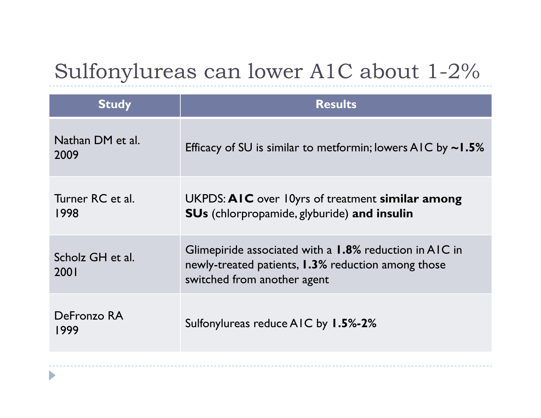#### Sulfonylureas can lower A1C about 1 -2%

| <b>Study</b>             | <b>Results</b>                                                                                                                                     |
|--------------------------|----------------------------------------------------------------------------------------------------------------------------------------------------|
| Nathan DM et al.<br>2009 | Efficacy of SU is similar to metformin; lowers AIC by $\sim$ 1.5%                                                                                  |
| Turner RC et al.<br>1998 | UKPDS: AIC over 10yrs of treatment similar among<br><b>SUs</b> (chlorpropamide, glyburide) and insulin                                             |
| Scholz GH et al.<br>2001 | Glimepiride associated with a 1.8% reduction in AIC in<br>newly-treated patients, <b>1.3%</b> reduction among those<br>switched from another agent |
| DeFronzo RA<br>1999      | Sulfonylureas reduce AIC by 1.5%-2%                                                                                                                |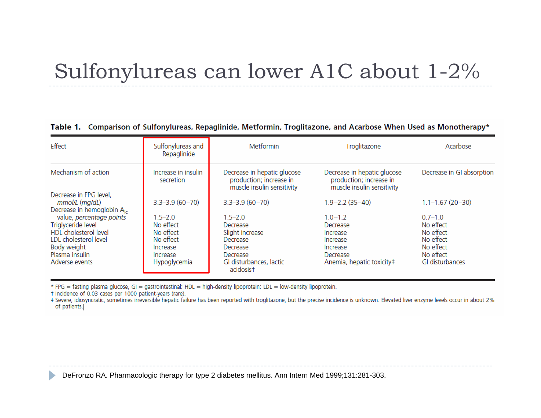#### Sulfonylureas can lower A1C about 1 -2%

| Effect                                                                                                                                              | Sulfonylureas and<br>Repaglinide                                                           | <b>Metformin</b>                                                                                                       | Troglitazone                                                                                         | Acarbose                                                                                        |
|-----------------------------------------------------------------------------------------------------------------------------------------------------|--------------------------------------------------------------------------------------------|------------------------------------------------------------------------------------------------------------------------|------------------------------------------------------------------------------------------------------|-------------------------------------------------------------------------------------------------|
| Mechanism of action                                                                                                                                 | Increase in insulin<br>secretion                                                           | Decrease in hepatic glucose<br>production; increase in<br>muscle insulin sensitivity                                   | Decrease in hepatic glucose<br>production; increase in<br>muscle insulin sensitivity                 | Decrease in GI absorption                                                                       |
| Decrease in FPG level,<br>mmol/L (mg/dL)<br>Decrease in hemoglobin A <sub>Ic</sub>                                                                  | $3.3 - 3.9(60 - 70)$                                                                       | $3.3 - 3.9(60 - 70)$                                                                                                   | $1.9 - 2.2(35 - 40)$                                                                                 | $1.1 - 1.67(20 - 30)$                                                                           |
| value, percentage points<br>Triglyceride level<br>HDL cholesterol level<br>LDL cholesterol level<br>Body weight<br>Plasma insulin<br>Adverse events | $1.5 - 2.0$<br>No effect<br>No effect<br>No effect<br>Increase<br>Increase<br>Hypoglycemia | $1.5 - 2.0$<br>Decrease<br>Slight increase<br>Decrease<br>Decrease<br>Decrease<br>GI disturbances, lactic<br>acidosist | $1.0 - 1.2$<br>Decrease<br>Increase<br>Increase<br>Increase<br>Decrease<br>Anemia, hepatic toxicity# | $0.7 - 1.0$<br>No effect<br>No effect<br>No effect<br>No effect<br>No effect<br>GI disturbances |

#### Table 1. Comparison of Sulfonylureas, Repaglinide, Metformin, Troglitazone, and Acarbose When Used as Monotherapy\*

\* FPG = fasting plasma glucose, GI = gastrointestinal; HDL = high-density lipoprotein; LDL = low-density lipoprotein.

† Incidence of 0.03 cases per 1000 patient-years (rare).

 $\blacktriangleright$ 

# Severe, idiosyncratic, sometimes irreversible hepatic failure has been reported with troglitazone, but the precise incidence is unknown. Elevated liver enzyme levels occur in about 2% of patients.

DeFronzo RA. Pharmacologic therapy for type 2 diabetes mellitus. Ann Intern Med 1999;131:281-303.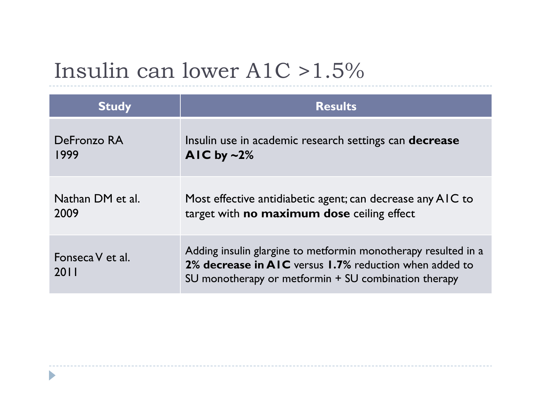### Insulin can lower A1C >1.5 %

| <b>Study</b>             | <b>Results</b>                                                                                                                                                                   |
|--------------------------|----------------------------------------------------------------------------------------------------------------------------------------------------------------------------------|
| DeFronzo RA              | Insulin use in academic research settings can <b>decrease</b>                                                                                                                    |
| 1999                     | AIC by $\sim$ 2%                                                                                                                                                                 |
| Nathan DM et al.         | Most effective antidiabetic agent; can decrease any AIC to                                                                                                                       |
| 2009                     | target with <b>no maximum dose</b> ceiling effect                                                                                                                                |
| Fonseca V et al.<br>2011 | Adding insulin glargine to metformin monotherapy resulted in a<br>2% decrease in AIC versus 1.7% reduction when added to<br>SU monotherapy or metformin + SU combination therapy |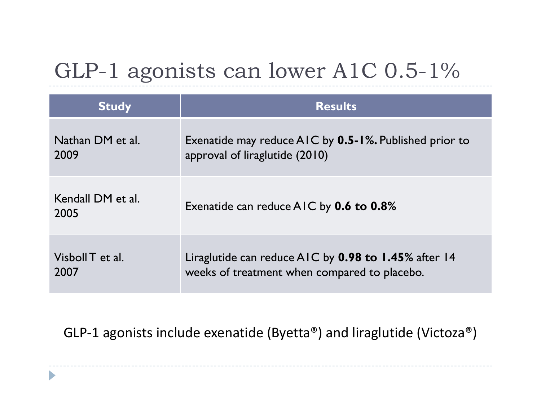### GLP-1 agonists can lower A1C 0.5-1%

| <b>Study</b>              | <b>Results</b>                                         |
|---------------------------|--------------------------------------------------------|
| Nathan DM et al.          | Exenatide may reduce AIC by 0.5-1%. Published prior to |
| 2009                      | approval of liraglutide (2010)                         |
| Kendall DM et al.<br>2005 | Exenatide can reduce AIC by <b>0.6 to 0.8%</b>         |
| Visboll T et al.          | Liraglutide can reduce $AIC$ by 0.98 to 1.45% after 14 |
| 2007                      | weeks of treatment when compared to placebo.           |

GLP-1 agonists include exenatide (Byetta®) and liraglutide (Victoza®)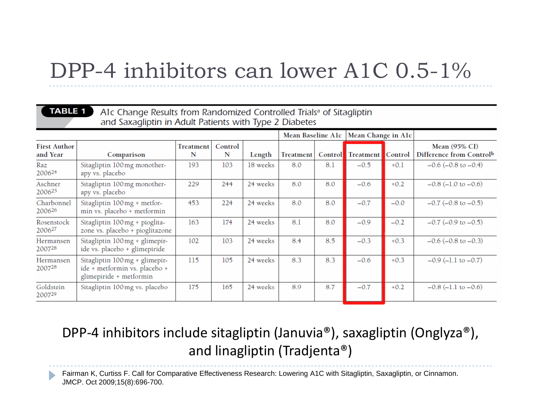#### DPP-4 inhibitors can lower A1C 0.5-1%

#### **TABLE 1**

#### A1c Change Results from Randomized Controlled Trials<sup>a</sup> of Sitagliptin and Saxagliptin in Adult Patients with Type 2 Diabetes

|                                  |                                                                                           |                |              |          | Mean Baseline Alc |         | Mean Change in Alc |         |                                                  |
|----------------------------------|-------------------------------------------------------------------------------------------|----------------|--------------|----------|-------------------|---------|--------------------|---------|--------------------------------------------------|
| <b>First Author</b><br>and Year  | Comparison                                                                                | Treatment<br>N | Control<br>N | Length   | Treatment         | Control | Treatment          | Control | <b>Mean</b> (95% CI)<br>Difference from Controlb |
| Raz<br>200624                    | Sitagliptin 100mg monother-<br>apy vs. placebo                                            | 193            | 103          | 18 weeks | 8.0               | 8.1     | $-0.5$             | $+0.1$  | $-0.6$ ( $-0.8$ to $-0.4$ )                      |
| Aschner<br>200625                | Sitagliptin 100mg monother-<br>apy vs. placebo                                            | 229            | 244          | 24 weeks | 8.0               | 8.0     | $-0.6$             | $+0.2$  | $-0.8$ (-1.0 to $-0.6$ )                         |
| Charbonnel<br>200626             | Sitagliptin 100mg + metfor-<br>min vs. placebo + metformin                                | 453            | 224          | 24 weeks | 8.0               | 8.0     | $-0.7$             | $-0.0$  | $-0.7$ ( $-0.8$ to $-0.5$ )                      |
| Rosenstock<br>2006 <sup>27</sup> | Sitagliptin 100mg + pioglita-<br>zone vs. placebo + pioglitazone                          | 163            | 174          | 24 weeks | 8.1               | 8.0     | $-0.9$             | $-0.2$  | $-0.7$ ( $-0.9$ to $-0.5$ )                      |
| Hermansen<br>200728              | Sitagliptin 100 mg + glimepir-<br>ide vs. placebo + glimepiride                           | 102            | 103          | 24 weeks | 8.4               | 8.5     | $-0.3$             | $+0.3$  | $-0.6$ ( $-0.8$ to $-0.3$ )                      |
| Hermansen<br>200728              | Sitagliptin 100mg + glimepir-<br>ide + metformin vs. placebo +<br>glimepiride + metformin | 115            | 105          | 24 weeks | 8.3               | 8.3     | $-0.6$             | $+0.3$  | $-0.9$ ( $-1.1$ to $-0.7$ )                      |
| Goldstein<br>200729              | Sitagliptin 100mg vs. placebo                                                             | 175            | 165          | 24 weeks | 8.9               | 8.7     | $-0.7$             | $+0.2$  | $-0.8$ (-1.1 to $-0.6$ )                         |

#### DPP‐4 inhibitors include sitagliptin (Januvia®), saxagliptin (Onglyza®), and linagliptin (Tradjenta®)

Fairman K, Curtiss F. Call for Comparative Effectiveness Research: Lowering A1C with Sitagliptin, Saxagliptin, or Cinnamon. JMCP. Oct 2009;15(8):696-700.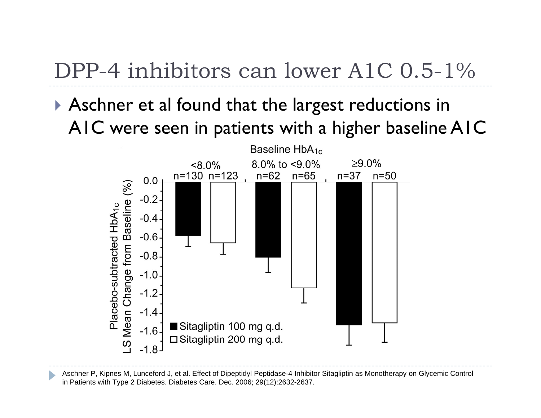### DPP-4 inhibitors can lower A1C 0.5-1%

 Aschner et al found that the largest reductions in A1C were seen in patients with a higher baseline A1C



Aschner P, Kipnes M, Lunceford J, et al. Effect of Dipeptidyl Peptidase-4 Inhibitor Sitagliptin as Monotherapy on Glycemic Control in Patients with Type 2 Diabetes. Diabetes Care. Dec. 2006; 29(12):2632-2637.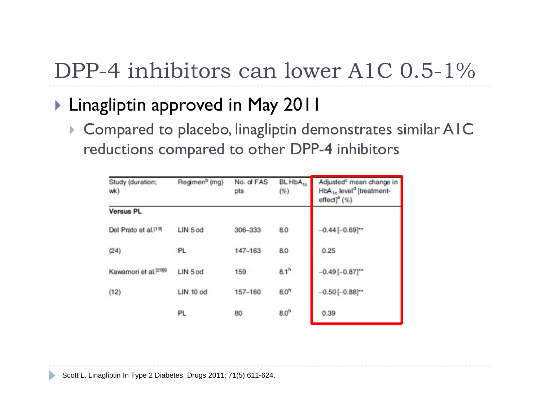## DPP-4 inhibitors can lower A1C 0.5-1%

- $\blacktriangleright$  Linagliptin approved in May 2011
	- $\blacktriangleright$  Compared to placebo, linagliptin demonstrates similar AIC reductions compared to other DPP-4 inhibitors

| Study (duration;<br>wk)          | Regimen <sup>b</sup> (mg) | No. of FAS<br>pts | BL HbA <sub>to</sub><br>$(\%)$ | Adjusted <sup>o</sup> mean change in<br>HbA <sub>1c</sub> level <sup>d</sup> [treatment-<br>$effect]$ <sup>o</sup> $(\%)$ |
|----------------------------------|---------------------------|-------------------|--------------------------------|---------------------------------------------------------------------------------------------------------------------------|
| <b>Versus PL</b>                 |                           |                   |                                |                                                                                                                           |
| Del Prato et al. <sup>[19]</sup> | LIN 5 od                  | 306-333           | 8.0                            | $-0.44[-0.69]$                                                                                                            |
| (24)                             | PL                        | 147-163           | 8.0                            | 0.25                                                                                                                      |
| Kawamori et al. <sup>[29]9</sup> | LIN 5 od                  | 159               | 8.1 <sup>h</sup>               | $-0.49[-0.87]$ **                                                                                                         |
| (12)                             | LIN 10 od                 | 157-160           | 8.0 <sup>h</sup>               | $-0.50[-0.88]$ **                                                                                                         |
|                                  | PL                        | 80                | 8.0 <sup>h</sup>               | 0.39                                                                                                                      |

Scott L. Linagliptin In Type 2 Diabetes. Drugs 2011; 71(5):611-624.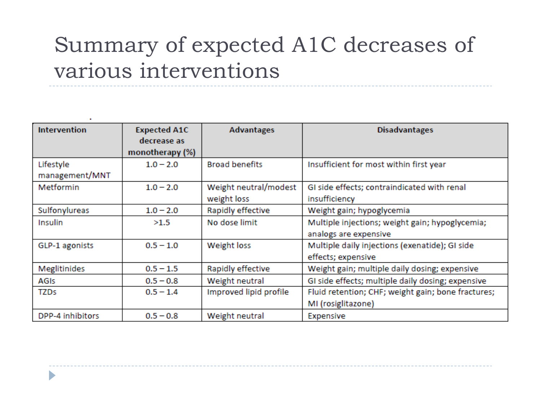### Summary of expected A1C decreases of various interventions

| <b>Intervention</b> | <b>Expected A1C</b> | <b>Advantages</b>      | <b>Disadvantages</b>                               |
|---------------------|---------------------|------------------------|----------------------------------------------------|
|                     | decrease as         |                        |                                                    |
|                     | monotherapy (%)     |                        |                                                    |
| Lifestyle           | $1.0 - 2.0$         | <b>Broad benefits</b>  | Insufficient for most within first year            |
| management/MNT      |                     |                        |                                                    |
| Metformin           | $1.0 - 2.0$         | Weight neutral/modest  | GI side effects; contraindicated with renal        |
|                     |                     | weight loss            | insufficiency                                      |
| Sulfonylureas       | $1.0 - 2.0$         | Rapidly effective      | Weight gain; hypoglycemia                          |
| Insulin             | >1.5                | No dose limit          | Multiple injections; weight gain; hypoglycemia;    |
|                     |                     |                        | analogs are expensive                              |
| GLP-1 agonists      | $0.5 - 1.0$         | Weight loss            | Multiple daily injections (exenatide); GI side     |
|                     |                     |                        | effects; expensive                                 |
| Meglitinides        | $0.5 - 1.5$         | Rapidly effective      | Weight gain; multiple daily dosing; expensive      |
| AGIS                | $0.5 - 0.8$         | Weight neutral         | GI side effects; multiple daily dosing; expensive  |
| <b>TZDs</b>         | $0.5 - 1.4$         | Improved lipid profile | Fluid retention; CHF; weight gain; bone fractures; |
|                     |                     |                        | MI (rosiglitazone)                                 |
| DPP-4 inhibitors    | $0.5 - 0.8$         | Weight neutral         | Expensive                                          |

D